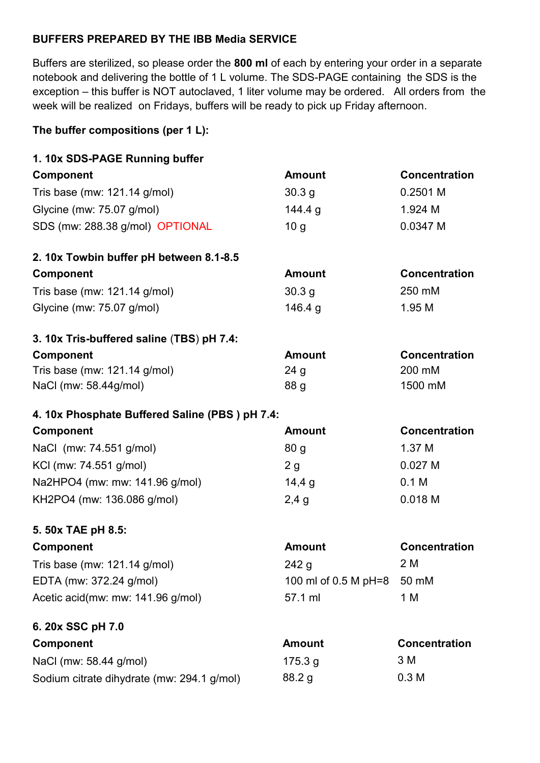## **BUFFERS PREPARED BY THE IBB Media SERVICE**

Buffers are sterilized, so please order the **800 ml** of each by entering your order in a separate notebook and delivering the bottle of 1 L volume. The SDS-PAGE containing the SDS is the exception – this buffer is NOT autoclaved, 1 liter volume may be ordered. All orders from the week will be realized on Fridays, buffers will be ready to pick up Friday afternoon.

## **The buffer compositions (per 1 L):**

| 1. 10x SDS-PAGE Running buffer                 |                      |                      |
|------------------------------------------------|----------------------|----------------------|
| Component                                      | <b>Amount</b>        | <b>Concentration</b> |
| Tris base (mw: $121.14$ g/mol)                 | 30.3 <sub>g</sub>    | 0.2501 M             |
| Glycine (mw: 75.07 g/mol)                      | 144.4 g              | 1.924 M              |
| SDS (mw: 288.38 g/mol) OPTIONAL                | 10 <sub>q</sub>      | 0.0347 M             |
| 2. 10x Towbin buffer pH between 8.1-8.5        |                      |                      |
| <b>Component</b>                               | <b>Amount</b>        | Concentration        |
| Tris base (mw: 121.14 g/mol)                   | 30.3 <sub>g</sub>    | 250 mM               |
| Glycine (mw: 75.07 g/mol)                      | 146.4 g              | 1.95 M               |
| 3. 10x Tris-buffered saline (TBS) pH 7.4:      |                      |                      |
| <b>Component</b>                               | <b>Amount</b>        | Concentration        |
| Tris base (mw: 121.14 g/mol)                   | 24 <sub>g</sub>      | 200 mM               |
| NaCl (mw: 58.44g/mol)                          | 88 g                 | 1500 mM              |
| 4. 10x Phosphate Buffered Saline (PBS) pH 7.4: |                      |                      |
| Component                                      | <b>Amount</b>        | <b>Concentration</b> |
|                                                |                      |                      |
| NaCl (mw: 74.551 g/mol)                        | 80 <sub>g</sub>      | 1.37 M               |
| KCI (mw: 74.551 g/mol)                         | 2g                   | 0.027M               |
| Na2HPO4 (mw: mw: 141.96 g/mol)                 | 14,4g                | 0.1 <sub>M</sub>     |
| KH2PO4 (mw: 136.086 g/mol)                     | 2,4g                 | 0.018 M              |
| 5. 50x TAE pH 8.5:                             |                      |                      |
| <b>Component</b>                               | <b>Amount</b>        | Concentration        |
| Tris base (mw: 121.14 g/mol)                   | 242 g                | 2 M                  |
| EDTA (mw: 372.24 g/mol)                        | 100 ml of 0.5 M pH=8 | 50 mM                |
| Acetic acid(mw: mw: 141.96 g/mol)              | 57.1 ml              | 1 M                  |
| 6. 20x SSC pH 7.0                              |                      |                      |
| Component                                      | <b>Amount</b>        | <b>Concentration</b> |
| NaCl (mw: 58.44 g/mol)                         | 175.3 g              | 3 M                  |